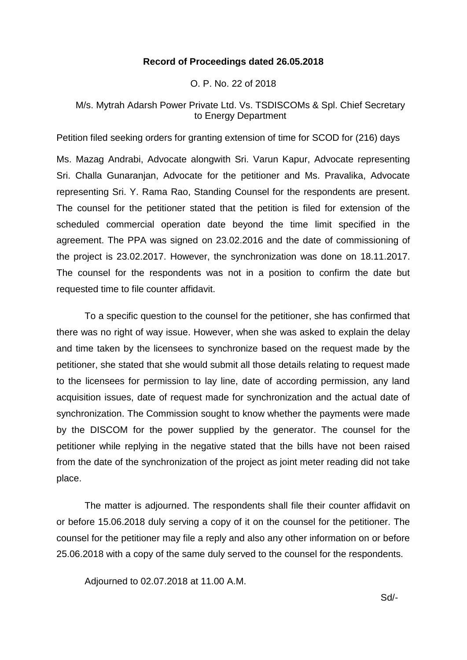## **Record of Proceedings dated 26.05.2018**

O. P. No. 22 of 2018

# M/s. Mytrah Adarsh Power Private Ltd. Vs. TSDISCOMs & Spl. Chief Secretary to Energy Department

Petition filed seeking orders for granting extension of time for SCOD for (216) days

Ms. Mazag Andrabi, Advocate alongwith Sri. Varun Kapur, Advocate representing Sri. Challa Gunaranjan, Advocate for the petitioner and Ms. Pravalika, Advocate representing Sri. Y. Rama Rao, Standing Counsel for the respondents are present. The counsel for the petitioner stated that the petition is filed for extension of the scheduled commercial operation date beyond the time limit specified in the agreement. The PPA was signed on 23.02.2016 and the date of commissioning of the project is 23.02.2017. However, the synchronization was done on 18.11.2017. The counsel for the respondents was not in a position to confirm the date but requested time to file counter affidavit.

To a specific question to the counsel for the petitioner, she has confirmed that there was no right of way issue. However, when she was asked to explain the delay and time taken by the licensees to synchronize based on the request made by the petitioner, she stated that she would submit all those details relating to request made to the licensees for permission to lay line, date of according permission, any land acquisition issues, date of request made for synchronization and the actual date of synchronization. The Commission sought to know whether the payments were made by the DISCOM for the power supplied by the generator. The counsel for the petitioner while replying in the negative stated that the bills have not been raised from the date of the synchronization of the project as joint meter reading did not take place.

The matter is adjourned. The respondents shall file their counter affidavit on or before 15.06.2018 duly serving a copy of it on the counsel for the petitioner. The counsel for the petitioner may file a reply and also any other information on or before 25.06.2018 with a copy of the same duly served to the counsel for the respondents.

Adjourned to 02.07.2018 at 11.00 A.M.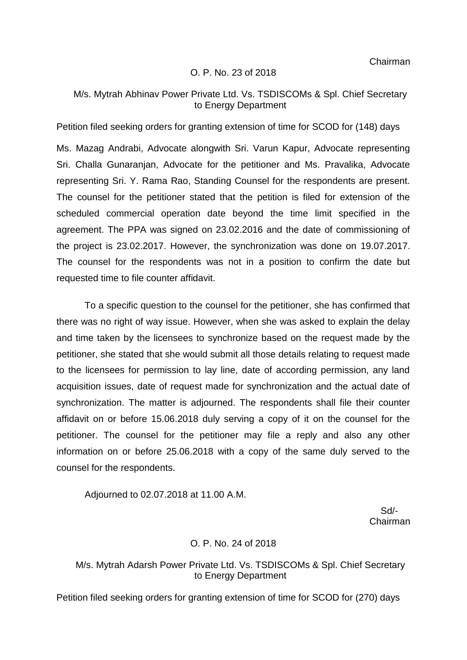Chairman

### O. P. No. 23 of 2018

## M/s. Mytrah Abhinav Power Private Ltd. Vs. TSDISCOMs & Spl. Chief Secretary to Energy Department

Petition filed seeking orders for granting extension of time for SCOD for (148) days

Ms. Mazag Andrabi, Advocate alongwith Sri. Varun Kapur, Advocate representing Sri. Challa Gunaranjan, Advocate for the petitioner and Ms. Pravalika, Advocate representing Sri. Y. Rama Rao, Standing Counsel for the respondents are present. The counsel for the petitioner stated that the petition is filed for extension of the scheduled commercial operation date beyond the time limit specified in the agreement. The PPA was signed on 23.02.2016 and the date of commissioning of the project is 23.02.2017. However, the synchronization was done on 19.07.2017. The counsel for the respondents was not in a position to confirm the date but requested time to file counter affidavit.

To a specific question to the counsel for the petitioner, she has confirmed that there was no right of way issue. However, when she was asked to explain the delay and time taken by the licensees to synchronize based on the request made by the petitioner, she stated that she would submit all those details relating to request made to the licensees for permission to lay line, date of according permission, any land acquisition issues, date of request made for synchronization and the actual date of synchronization. The matter is adjourned. The respondents shall file their counter affidavit on or before 15.06.2018 duly serving a copy of it on the counsel for the petitioner. The counsel for the petitioner may file a reply and also any other information on or before 25.06.2018 with a copy of the same duly served to the counsel for the respondents.

Adjourned to 02.07.2018 at 11.00 A.M.

 Sd/- Chairman

### O. P. No. 24 of 2018

## M/s. Mytrah Adarsh Power Private Ltd. Vs. TSDISCOMs & Spl. Chief Secretary to Energy Department

Petition filed seeking orders for granting extension of time for SCOD for (270) days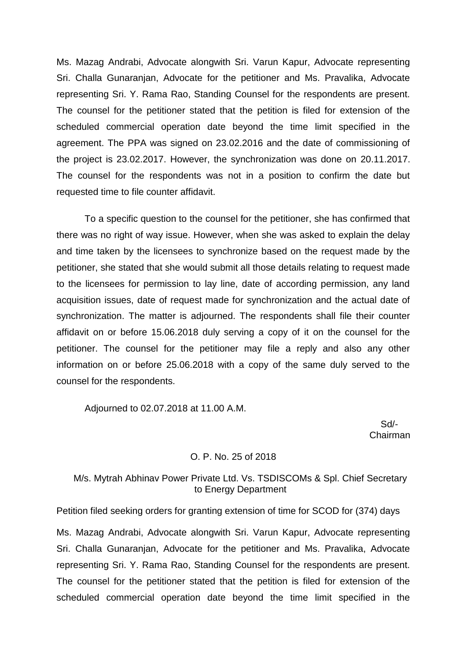Ms. Mazag Andrabi, Advocate alongwith Sri. Varun Kapur, Advocate representing Sri. Challa Gunaranjan, Advocate for the petitioner and Ms. Pravalika, Advocate representing Sri. Y. Rama Rao, Standing Counsel for the respondents are present. The counsel for the petitioner stated that the petition is filed for extension of the scheduled commercial operation date beyond the time limit specified in the agreement. The PPA was signed on 23.02.2016 and the date of commissioning of the project is 23.02.2017. However, the synchronization was done on 20.11.2017. The counsel for the respondents was not in a position to confirm the date but requested time to file counter affidavit.

To a specific question to the counsel for the petitioner, she has confirmed that there was no right of way issue. However, when she was asked to explain the delay and time taken by the licensees to synchronize based on the request made by the petitioner, she stated that she would submit all those details relating to request made to the licensees for permission to lay line, date of according permission, any land acquisition issues, date of request made for synchronization and the actual date of synchronization. The matter is adjourned. The respondents shall file their counter affidavit on or before 15.06.2018 duly serving a copy of it on the counsel for the petitioner. The counsel for the petitioner may file a reply and also any other information on or before 25.06.2018 with a copy of the same duly served to the counsel for the respondents.

Adjourned to 02.07.2018 at 11.00 A.M.

 Sd/- Chairman

### O. P. No. 25 of 2018

# M/s. Mytrah Abhinav Power Private Ltd. Vs. TSDISCOMs & Spl. Chief Secretary to Energy Department

Petition filed seeking orders for granting extension of time for SCOD for (374) days

Ms. Mazag Andrabi, Advocate alongwith Sri. Varun Kapur, Advocate representing Sri. Challa Gunaranjan, Advocate for the petitioner and Ms. Pravalika, Advocate representing Sri. Y. Rama Rao, Standing Counsel for the respondents are present. The counsel for the petitioner stated that the petition is filed for extension of the scheduled commercial operation date beyond the time limit specified in the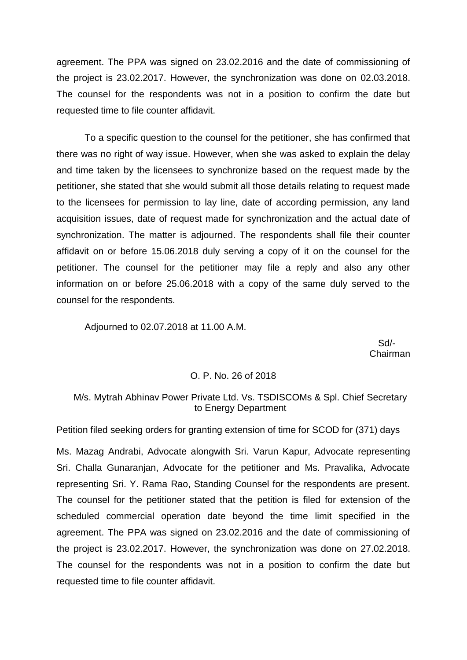agreement. The PPA was signed on 23.02.2016 and the date of commissioning of the project is 23.02.2017. However, the synchronization was done on 02.03.2018. The counsel for the respondents was not in a position to confirm the date but requested time to file counter affidavit.

To a specific question to the counsel for the petitioner, she has confirmed that there was no right of way issue. However, when she was asked to explain the delay and time taken by the licensees to synchronize based on the request made by the petitioner, she stated that she would submit all those details relating to request made to the licensees for permission to lay line, date of according permission, any land acquisition issues, date of request made for synchronization and the actual date of synchronization. The matter is adjourned. The respondents shall file their counter affidavit on or before 15.06.2018 duly serving a copy of it on the counsel for the petitioner. The counsel for the petitioner may file a reply and also any other information on or before 25.06.2018 with a copy of the same duly served to the counsel for the respondents.

Adjourned to 02.07.2018 at 11.00 A.M.

 Sd/- Chairman

#### O. P. No. 26 of 2018

# M/s. Mytrah Abhinav Power Private Ltd. Vs. TSDISCOMs & Spl. Chief Secretary to Energy Department

Petition filed seeking orders for granting extension of time for SCOD for (371) days

Ms. Mazag Andrabi, Advocate alongwith Sri. Varun Kapur, Advocate representing Sri. Challa Gunaranjan, Advocate for the petitioner and Ms. Pravalika, Advocate representing Sri. Y. Rama Rao, Standing Counsel for the respondents are present. The counsel for the petitioner stated that the petition is filed for extension of the scheduled commercial operation date beyond the time limit specified in the agreement. The PPA was signed on 23.02.2016 and the date of commissioning of the project is 23.02.2017. However, the synchronization was done on 27.02.2018. The counsel for the respondents was not in a position to confirm the date but requested time to file counter affidavit.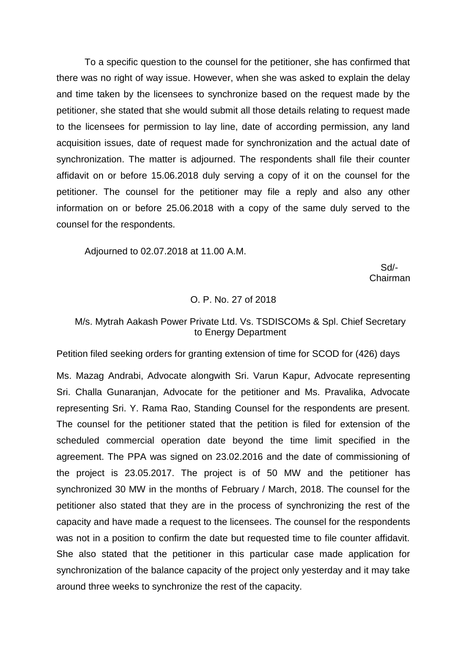To a specific question to the counsel for the petitioner, she has confirmed that there was no right of way issue. However, when she was asked to explain the delay and time taken by the licensees to synchronize based on the request made by the petitioner, she stated that she would submit all those details relating to request made to the licensees for permission to lay line, date of according permission, any land acquisition issues, date of request made for synchronization and the actual date of synchronization. The matter is adjourned. The respondents shall file their counter affidavit on or before 15.06.2018 duly serving a copy of it on the counsel for the petitioner. The counsel for the petitioner may file a reply and also any other information on or before 25.06.2018 with a copy of the same duly served to the counsel for the respondents.

Adjourned to 02.07.2018 at 11.00 A.M.

 Sd/- Chairman

#### O. P. No. 27 of 2018

## M/s. Mytrah Aakash Power Private Ltd. Vs. TSDISCOMs & Spl. Chief Secretary to Energy Department

Petition filed seeking orders for granting extension of time for SCOD for (426) days

Ms. Mazag Andrabi, Advocate alongwith Sri. Varun Kapur, Advocate representing Sri. Challa Gunaranjan, Advocate for the petitioner and Ms. Pravalika, Advocate representing Sri. Y. Rama Rao, Standing Counsel for the respondents are present. The counsel for the petitioner stated that the petition is filed for extension of the scheduled commercial operation date beyond the time limit specified in the agreement. The PPA was signed on 23.02.2016 and the date of commissioning of the project is 23.05.2017. The project is of 50 MW and the petitioner has synchronized 30 MW in the months of February / March, 2018. The counsel for the petitioner also stated that they are in the process of synchronizing the rest of the capacity and have made a request to the licensees. The counsel for the respondents was not in a position to confirm the date but requested time to file counter affidavit. She also stated that the petitioner in this particular case made application for synchronization of the balance capacity of the project only yesterday and it may take around three weeks to synchronize the rest of the capacity.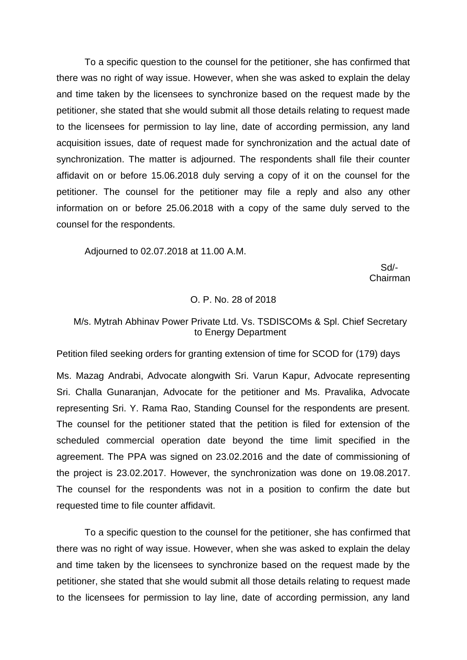To a specific question to the counsel for the petitioner, she has confirmed that there was no right of way issue. However, when she was asked to explain the delay and time taken by the licensees to synchronize based on the request made by the petitioner, she stated that she would submit all those details relating to request made to the licensees for permission to lay line, date of according permission, any land acquisition issues, date of request made for synchronization and the actual date of synchronization. The matter is adjourned. The respondents shall file their counter affidavit on or before 15.06.2018 duly serving a copy of it on the counsel for the petitioner. The counsel for the petitioner may file a reply and also any other information on or before 25.06.2018 with a copy of the same duly served to the counsel for the respondents.

Adjourned to 02.07.2018 at 11.00 A.M.

 Sd/- Chairman

#### O. P. No. 28 of 2018

# M/s. Mytrah Abhinav Power Private Ltd. Vs. TSDISCOMs & Spl. Chief Secretary to Energy Department

Petition filed seeking orders for granting extension of time for SCOD for (179) days

Ms. Mazag Andrabi, Advocate alongwith Sri. Varun Kapur, Advocate representing Sri. Challa Gunaranjan, Advocate for the petitioner and Ms. Pravalika, Advocate representing Sri. Y. Rama Rao, Standing Counsel for the respondents are present. The counsel for the petitioner stated that the petition is filed for extension of the scheduled commercial operation date beyond the time limit specified in the agreement. The PPA was signed on 23.02.2016 and the date of commissioning of the project is 23.02.2017. However, the synchronization was done on 19.08.2017. The counsel for the respondents was not in a position to confirm the date but requested time to file counter affidavit.

To a specific question to the counsel for the petitioner, she has confirmed that there was no right of way issue. However, when she was asked to explain the delay and time taken by the licensees to synchronize based on the request made by the petitioner, she stated that she would submit all those details relating to request made to the licensees for permission to lay line, date of according permission, any land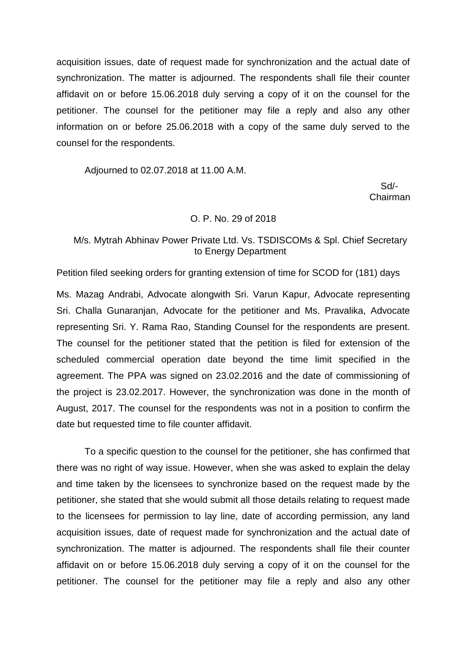acquisition issues, date of request made for synchronization and the actual date of synchronization. The matter is adjourned. The respondents shall file their counter affidavit on or before 15.06.2018 duly serving a copy of it on the counsel for the petitioner. The counsel for the petitioner may file a reply and also any other information on or before 25.06.2018 with a copy of the same duly served to the counsel for the respondents.

Adjourned to 02.07.2018 at 11.00 A.M.

 Sd/- Chairman

#### O. P. No. 29 of 2018

# M/s. Mytrah Abhinav Power Private Ltd. Vs. TSDISCOMs & Spl. Chief Secretary to Energy Department

Petition filed seeking orders for granting extension of time for SCOD for (181) days

Ms. Mazag Andrabi, Advocate alongwith Sri. Varun Kapur, Advocate representing Sri. Challa Gunaranjan, Advocate for the petitioner and Ms. Pravalika, Advocate representing Sri. Y. Rama Rao, Standing Counsel for the respondents are present. The counsel for the petitioner stated that the petition is filed for extension of the scheduled commercial operation date beyond the time limit specified in the agreement. The PPA was signed on 23.02.2016 and the date of commissioning of the project is 23.02.2017. However, the synchronization was done in the month of August, 2017. The counsel for the respondents was not in a position to confirm the date but requested time to file counter affidavit.

To a specific question to the counsel for the petitioner, she has confirmed that there was no right of way issue. However, when she was asked to explain the delay and time taken by the licensees to synchronize based on the request made by the petitioner, she stated that she would submit all those details relating to request made to the licensees for permission to lay line, date of according permission, any land acquisition issues, date of request made for synchronization and the actual date of synchronization. The matter is adjourned. The respondents shall file their counter affidavit on or before 15.06.2018 duly serving a copy of it on the counsel for the petitioner. The counsel for the petitioner may file a reply and also any other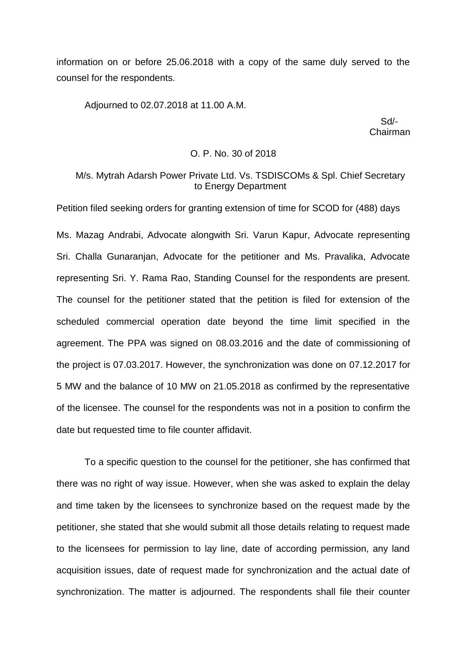information on or before 25.06.2018 with a copy of the same duly served to the counsel for the respondents.

Adjourned to 02.07.2018 at 11.00 A.M.

 Sd/- Chairman

#### O. P. No. 30 of 2018

## M/s. Mytrah Adarsh Power Private Ltd. Vs. TSDISCOMs & Spl. Chief Secretary to Energy Department

Petition filed seeking orders for granting extension of time for SCOD for (488) days

Ms. Mazag Andrabi, Advocate alongwith Sri. Varun Kapur, Advocate representing Sri. Challa Gunaranjan, Advocate for the petitioner and Ms. Pravalika, Advocate representing Sri. Y. Rama Rao, Standing Counsel for the respondents are present. The counsel for the petitioner stated that the petition is filed for extension of the scheduled commercial operation date beyond the time limit specified in the agreement. The PPA was signed on 08.03.2016 and the date of commissioning of the project is 07.03.2017. However, the synchronization was done on 07.12.2017 for 5 MW and the balance of 10 MW on 21.05.2018 as confirmed by the representative of the licensee. The counsel for the respondents was not in a position to confirm the date but requested time to file counter affidavit.

To a specific question to the counsel for the petitioner, she has confirmed that there was no right of way issue. However, when she was asked to explain the delay and time taken by the licensees to synchronize based on the request made by the petitioner, she stated that she would submit all those details relating to request made to the licensees for permission to lay line, date of according permission, any land acquisition issues, date of request made for synchronization and the actual date of synchronization. The matter is adjourned. The respondents shall file their counter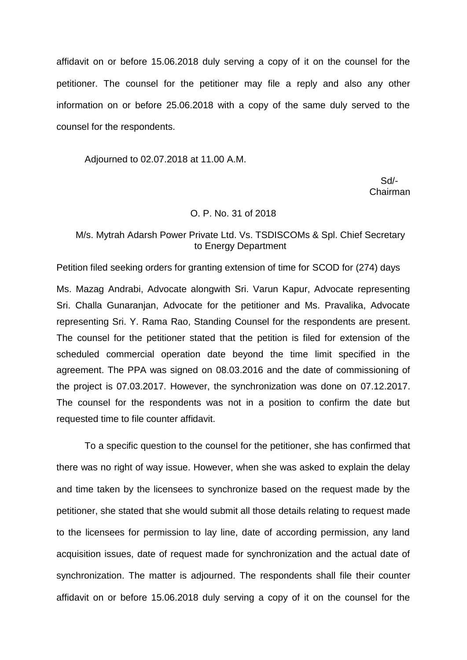affidavit on or before 15.06.2018 duly serving a copy of it on the counsel for the petitioner. The counsel for the petitioner may file a reply and also any other information on or before 25.06.2018 with a copy of the same duly served to the counsel for the respondents.

Adjourned to 02.07.2018 at 11.00 A.M.

 Sd/- Chairman

#### O. P. No. 31 of 2018

## M/s. Mytrah Adarsh Power Private Ltd. Vs. TSDISCOMs & Spl. Chief Secretary to Energy Department

Petition filed seeking orders for granting extension of time for SCOD for (274) days

Ms. Mazag Andrabi, Advocate alongwith Sri. Varun Kapur, Advocate representing Sri. Challa Gunaranjan, Advocate for the petitioner and Ms. Pravalika, Advocate representing Sri. Y. Rama Rao, Standing Counsel for the respondents are present. The counsel for the petitioner stated that the petition is filed for extension of the scheduled commercial operation date beyond the time limit specified in the agreement. The PPA was signed on 08.03.2016 and the date of commissioning of the project is 07.03.2017. However, the synchronization was done on 07.12.2017. The counsel for the respondents was not in a position to confirm the date but requested time to file counter affidavit.

To a specific question to the counsel for the petitioner, she has confirmed that there was no right of way issue. However, when she was asked to explain the delay and time taken by the licensees to synchronize based on the request made by the petitioner, she stated that she would submit all those details relating to request made to the licensees for permission to lay line, date of according permission, any land acquisition issues, date of request made for synchronization and the actual date of synchronization. The matter is adjourned. The respondents shall file their counter affidavit on or before 15.06.2018 duly serving a copy of it on the counsel for the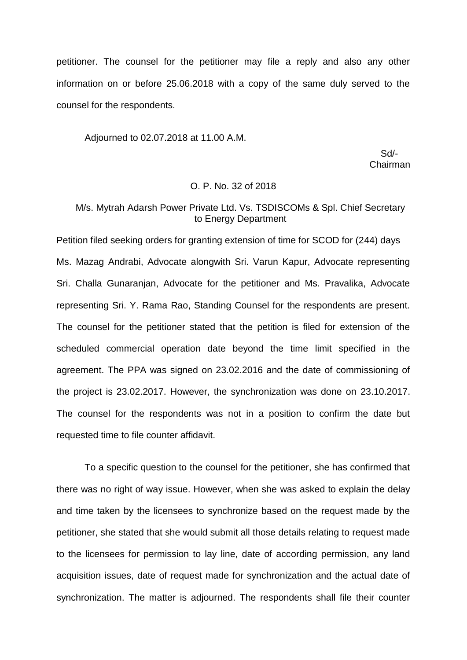petitioner. The counsel for the petitioner may file a reply and also any other information on or before 25.06.2018 with a copy of the same duly served to the counsel for the respondents.

Adjourned to 02.07.2018 at 11.00 A.M.

 Sd/- Chairman

# O. P. No. 32 of 2018

# M/s. Mytrah Adarsh Power Private Ltd. Vs. TSDISCOMs & Spl. Chief Secretary to Energy Department

Petition filed seeking orders for granting extension of time for SCOD for (244) days Ms. Mazag Andrabi, Advocate alongwith Sri. Varun Kapur, Advocate representing Sri. Challa Gunaranjan, Advocate for the petitioner and Ms. Pravalika, Advocate representing Sri. Y. Rama Rao, Standing Counsel for the respondents are present. The counsel for the petitioner stated that the petition is filed for extension of the scheduled commercial operation date beyond the time limit specified in the agreement. The PPA was signed on 23.02.2016 and the date of commissioning of the project is 23.02.2017. However, the synchronization was done on 23.10.2017. The counsel for the respondents was not in a position to confirm the date but requested time to file counter affidavit.

To a specific question to the counsel for the petitioner, she has confirmed that there was no right of way issue. However, when she was asked to explain the delay and time taken by the licensees to synchronize based on the request made by the petitioner, she stated that she would submit all those details relating to request made to the licensees for permission to lay line, date of according permission, any land acquisition issues, date of request made for synchronization and the actual date of synchronization. The matter is adjourned. The respondents shall file their counter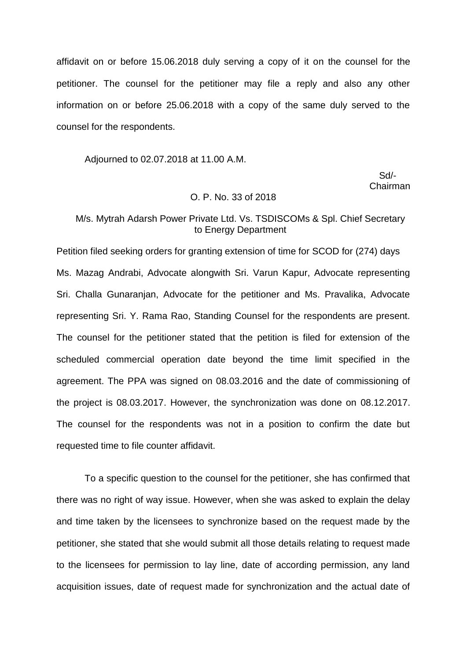affidavit on or before 15.06.2018 duly serving a copy of it on the counsel for the petitioner. The counsel for the petitioner may file a reply and also any other information on or before 25.06.2018 with a copy of the same duly served to the counsel for the respondents.

Adjourned to 02.07.2018 at 11.00 A.M.

 Sd/- Chairman

#### O. P. No. 33 of 2018

### M/s. Mytrah Adarsh Power Private Ltd. Vs. TSDISCOMs & Spl. Chief Secretary to Energy Department

Petition filed seeking orders for granting extension of time for SCOD for (274) days Ms. Mazag Andrabi, Advocate alongwith Sri. Varun Kapur, Advocate representing Sri. Challa Gunaranjan, Advocate for the petitioner and Ms. Pravalika, Advocate representing Sri. Y. Rama Rao, Standing Counsel for the respondents are present. The counsel for the petitioner stated that the petition is filed for extension of the scheduled commercial operation date beyond the time limit specified in the agreement. The PPA was signed on 08.03.2016 and the date of commissioning of the project is 08.03.2017. However, the synchronization was done on 08.12.2017. The counsel for the respondents was not in a position to confirm the date but requested time to file counter affidavit.

To a specific question to the counsel for the petitioner, she has confirmed that there was no right of way issue. However, when she was asked to explain the delay and time taken by the licensees to synchronize based on the request made by the petitioner, she stated that she would submit all those details relating to request made to the licensees for permission to lay line, date of according permission, any land acquisition issues, date of request made for synchronization and the actual date of